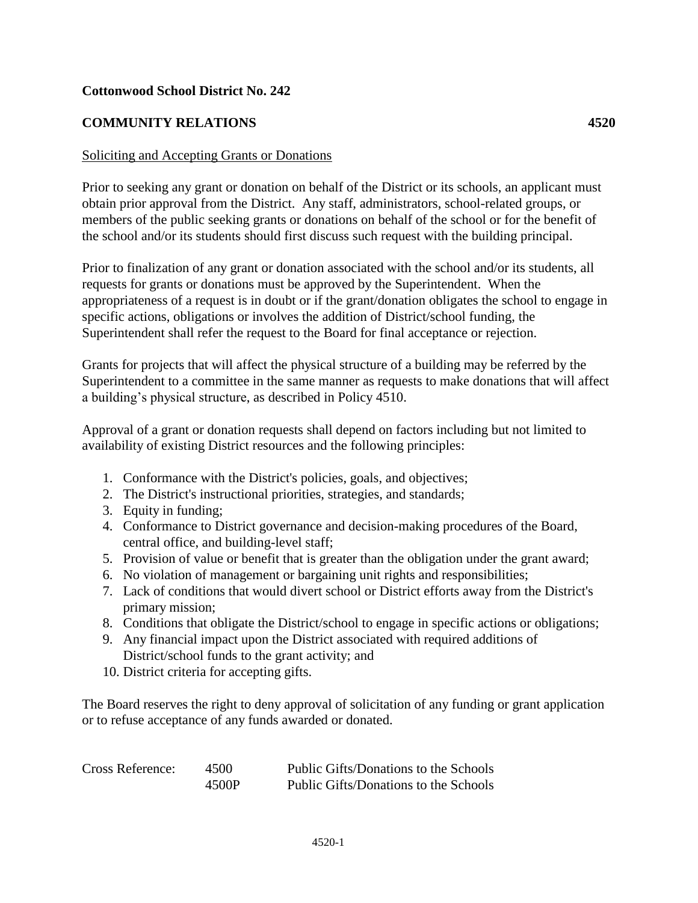## **Cottonwood School District No. 242**

## **COMMUNITY RELATIONS 4520**

## Soliciting and Accepting Grants or Donations

Prior to seeking any grant or donation on behalf of the District or its schools, an applicant must obtain prior approval from the District. Any staff, administrators, school-related groups, or members of the public seeking grants or donations on behalf of the school or for the benefit of the school and/or its students should first discuss such request with the building principal.

Prior to finalization of any grant or donation associated with the school and/or its students, all requests for grants or donations must be approved by the Superintendent. When the appropriateness of a request is in doubt or if the grant/donation obligates the school to engage in specific actions, obligations or involves the addition of District/school funding, the Superintendent shall refer the request to the Board for final acceptance or rejection.

Grants for projects that will affect the physical structure of a building may be referred by the Superintendent to a committee in the same manner as requests to make donations that will affect a building's physical structure, as described in Policy 4510.

Approval of a grant or donation requests shall depend on factors including but not limited to availability of existing District resources and the following principles:

- 1. Conformance with the District's policies, goals, and objectives;
- 2. The District's instructional priorities, strategies, and standards;
- 3. Equity in funding;
- 4. Conformance to District governance and decision-making procedures of the Board, central office, and building-level staff;
- 5. Provision of value or benefit that is greater than the obligation under the grant award;
- 6. No violation of management or bargaining unit rights and responsibilities;
- 7. Lack of conditions that would divert school or District efforts away from the District's primary mission;
- 8. Conditions that obligate the District/school to engage in specific actions or obligations;
- 9. Any financial impact upon the District associated with required additions of District/school funds to the grant activity; and
- 10. District criteria for accepting gifts.

The Board reserves the right to deny approval of solicitation of any funding or grant application or to refuse acceptance of any funds awarded or donated.

| Cross Reference: | 4500  | Public Gifts/Donations to the Schools |
|------------------|-------|---------------------------------------|
|                  | 4500P | Public Gifts/Donations to the Schools |